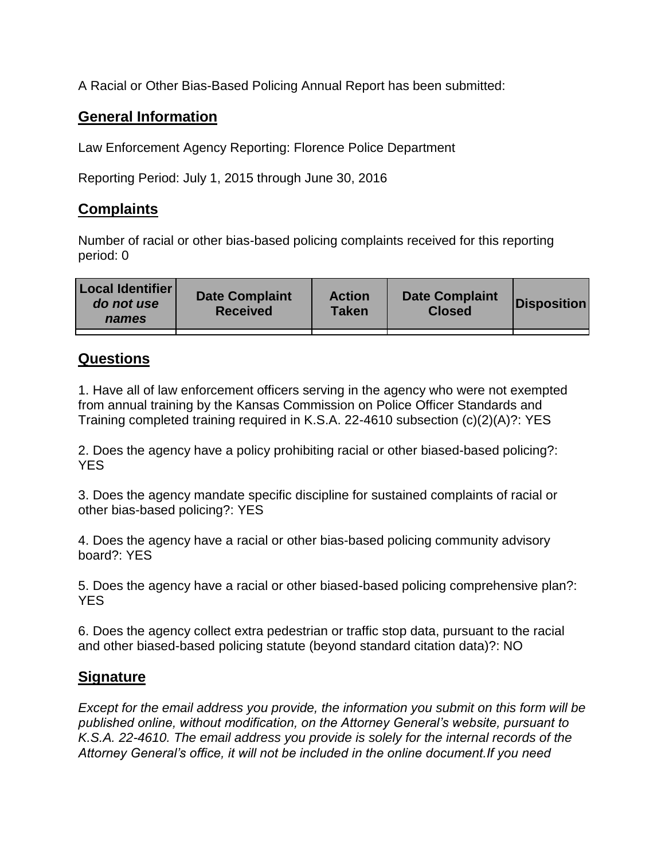A Racial or Other Bias-Based Policing Annual Report has been submitted:

## **General Information**

Law Enforcement Agency Reporting: Florence Police Department

Reporting Period: July 1, 2015 through June 30, 2016

## **Complaints**

Number of racial or other bias-based policing complaints received for this reporting period: 0

| <b>Local Identifier</b><br>do not use<br>names | <b>Date Complaint</b><br><b>Received</b> | <b>Action</b><br><b>Taken</b> | <b>Date Complaint</b><br><b>Closed</b> | Disposition |
|------------------------------------------------|------------------------------------------|-------------------------------|----------------------------------------|-------------|
|                                                |                                          |                               |                                        |             |

## **Questions**

1. Have all of law enforcement officers serving in the agency who were not exempted from annual training by the Kansas Commission on Police Officer Standards and Training completed training required in K.S.A. 22-4610 subsection (c)(2)(A)?: YES

2. Does the agency have a policy prohibiting racial or other biased-based policing?: YES

3. Does the agency mandate specific discipline for sustained complaints of racial or other bias-based policing?: YES

4. Does the agency have a racial or other bias-based policing community advisory board?: YES

5. Does the agency have a racial or other biased-based policing comprehensive plan?: YES

6. Does the agency collect extra pedestrian or traffic stop data, pursuant to the racial and other biased-based policing statute (beyond standard citation data)?: NO

## **Signature**

*Except for the email address you provide, the information you submit on this form will be published online, without modification, on the Attorney General's website, pursuant to K.S.A. 22-4610. The email address you provide is solely for the internal records of the Attorney General's office, it will not be included in the online document.If you need*